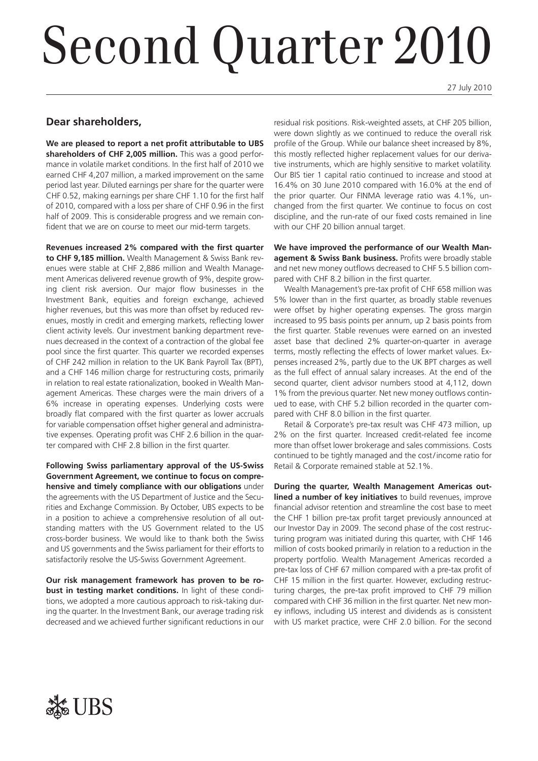# Second Quarter 2010

27 July 2010

### **Dear shareholders,**

**We are pleased to report a net profit attributable to UBS shareholders of CHF 2,005 million.** This was a good performance in volatile market conditions. In the first half of 2010 we earned CHF 4,207 million, a marked improvement on the same period last year. Diluted earnings per share for the quarter were CHF 0.52, making earnings per share CHF 1.10 for the first half of 2010, compared with a loss per share of CHF 0.96 in the first half of 2009. This is considerable progress and we remain confident that we are on course to meet our mid-term targets.

**Revenues increased 2% compared with the first quarter to CHF 9,185 million.** Wealth Management & Swiss Bank revenues were stable at CHF 2,886 million and Wealth Management Americas delivered revenue growth of 9%, despite growing client risk aversion. Our major flow businesses in the Investment Bank, equities and foreign exchange, achieved higher revenues, but this was more than offset by reduced revenues, mostly in credit and emerging markets, reflecting lower client activity levels. Our investment banking department revenues decreased in the context of a contraction of the global fee pool since the first quarter. This quarter we recorded expenses of CHF 242 million in relation to the UK Bank Payroll Tax (BPT), and a CHF 146 million charge for restructuring costs, primarily in relation to real estate rationalization, booked in Wealth Management Americas. These charges were the main drivers of a 6% increase in operating expenses. Underlying costs were broadly flat compared with the first quarter as lower accruals for variable compensation offset higher general and administrative expenses. Operating profit was CHF 2.6 billion in the quarter compared with CHF 2.8 billion in the first quarter.

**Following Swiss parliamentary approval of the US-Swiss Government Agreement, we continue to focus on comprehensive and timely compliance with our obligations** under the agreements with the US Department of Justice and the Securities and Exchange Commission. By October, UBS expects to be in a position to achieve a comprehensive resolution of all outstanding matters with the US Government related to the US cross-border business. We would like to thank both the Swiss and US governments and the Swiss parliament for their efforts to satisfactorily resolve the US-Swiss Government Agreement.

**Our risk management framework has proven to be robust in testing market conditions.** In light of these conditions, we adopted a more cautious approach to risk-taking during the quarter. In the Investment Bank, our average trading risk decreased and we achieved further significant reductions in our

residual risk positions. Risk-weighted assets, at CHF 205 billion, were down slightly as we continued to reduce the overall risk profile of the Group. While our balance sheet increased by 8%, this mostly reflected higher replacement values for our derivative instruments, which are highly sensitive to market volatility. Our BIS tier 1 capital ratio continued to increase and stood at 16.4% on 30 June 2010 compared with 16.0% at the end of the prior quarter. Our FINMA leverage ratio was 4.1%, unchanged from the first quarter. We continue to focus on cost discipline, and the run-rate of our fixed costs remained in line with our CHF 20 billion annual target.

**We have improved the performance of our Wealth Management & Swiss Bank business.** Profits were broadly stable and net new money outflows decreased to CHF 5.5 billion compared with CHF 8.2 billion in the first quarter.

Wealth Management's pre-tax profit of CHF 658 million was 5% lower than in the first quarter, as broadly stable revenues were offset by higher operating expenses. The gross margin increased to 95 basis points per annum, up 2 basis points from the first quarter. Stable revenues were earned on an invested asset base that declined 2% quarter-on-quarter in average terms, mostly reflecting the effects of lower market values. Expenses increased 2%, partly due to the UK BPT charges as well as the full effect of annual salary increases. At the end of the second quarter, client advisor numbers stood at 4,112, down 1% from the previous quarter. Net new money outflows continued to ease, with CHF 5.2 billion recorded in the quarter compared with CHF 8.0 billion in the first quarter.

Retail & Corporate's pre-tax result was CHF 473 million, up 2% on the first quarter. Increased credit-related fee income more than offset lower brokerage and sales commissions. Costs continued to be tightly managed and the cost/income ratio for Retail & Corporate remained stable at 52.1%.

**During the quarter, Wealth Management Americas outlined a number of key initiatives** to build revenues, improve financial advisor retention and streamline the cost base to meet the CHF 1 billion pre-tax profit target previously announced at our Investor Day in 2009. The second phase of the cost restructuring program was initiated during this quarter, with CHF 146 million of costs booked primarily in relation to a reduction in the property portfolio. Wealth Management Americas recorded a pre-tax loss of CHF 67 million compared with a pre-tax profit of CHF 15 million in the first quarter. However, excluding restructuring charges, the pre-tax profit improved to CHF 79 million compared with CHF 36 million in the first quarter. Net new money inflows, including US interest and dividends as is consistent with US market practice, were CHF 2.0 billion. For the second

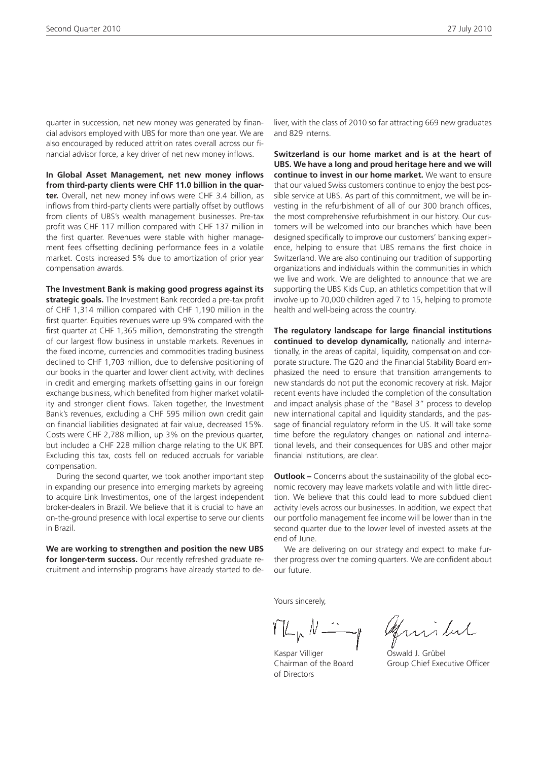quarter in succession, net new money was generated by financial advisors employed with UBS for more than one year. We are also encouraged by reduced attrition rates overall across our financial advisor force, a key driver of net new money inflows.

**In Global Asset Management, net new money inflows from third-party clients were CHF 11.0 billion in the quarter.** Overall, net new money inflows were CHF 3.4 billion, as inflows from third-party clients were partially offset by outflows from clients of UBS's wealth management businesses. Pre-tax profit was CHF 117 million compared with CHF 137 million in the first quarter. Revenues were stable with higher management fees offsetting declining performance fees in a volatile market. Costs increased 5% due to amortization of prior year compensation awards.

**The Investment Bank is making good progress against its strategic goals.** The Investment Bank recorded a pre-tax profit of CHF 1,314 million compared with CHF 1,190 million in the first quarter. Equities revenues were up 9% compared with the first quarter at CHF 1,365 million, demonstrating the strength of our largest flow business in unstable markets. Revenues in the fixed income, currencies and commodities trading business declined to CHF 1,703 million, due to defensive positioning of our books in the quarter and lower client activity, with declines in credit and emerging markets offsetting gains in our foreign exchange business, which benefited from higher market volatility and stronger client flows. Taken together, the Investment Bank's revenues, excluding a CHF 595 million own credit gain on financial liabilities designated at fair value, decreased 15%. Costs were CHF 2,788 million, up 3% on the previous quarter, but included a CHF 228 million charge relating to the UK BPT. Excluding this tax, costs fell on reduced accruals for variable compensation.

During the second quarter, we took another important step in expanding our presence into emerging markets by agreeing to acquire Link Investimentos, one of the largest independent broker-dealers in Brazil. We believe that it is crucial to have an on-the-ground presence with local expertise to serve our clients in Brazil.

**We are working to strengthen and position the new UBS for longer-term success.** Our recently refreshed graduate recruitment and internship programs have already started to deliver, with the class of 2010 so far attracting 669 new graduates and 829 interns.

**Switzerland is our home market and is at the heart of UBS. We have a long and proud heritage here and we will continue to invest in our home market.** We want to ensure that our valued Swiss customers continue to enjoy the best possible service at UBS. As part of this commitment, we will be investing in the refurbishment of all of our 300 branch offices, the most comprehensive refurbishment in our history. Our customers will be welcomed into our branches which have been designed specifically to improve our customers' banking experience, helping to ensure that UBS remains the first choice in Switzerland. We are also continuing our tradition of supporting organizations and individuals within the communities in which we live and work. We are delighted to announce that we are supporting the UBS Kids Cup, an athletics competition that will involve up to 70,000 children aged 7 to 15, helping to promote health and well-being across the country.

**The regulatory landscape for large financial institutions continued to develop dynamically,** nationally and internationally, in the areas of capital, liquidity, compensation and corporate structure. The G20 and the Financial Stability Board emphasized the need to ensure that transition arrangements to new standards do not put the economic recovery at risk. Major recent events have included the completion of the consultation and impact analysis phase of the "Basel 3" process to develop new international capital and liquidity standards, and the passage of financial regulatory reform in the US. It will take some time before the regulatory changes on national and international levels, and their consequences for UBS and other major financial institutions, are clear.

**Outlook –** Concerns about the sustainability of the global economic recovery may leave markets volatile and with little direction. We believe that this could lead to more subdued client activity levels across our businesses. In addition, we expect that our portfolio management fee income will be lower than in the second quarter due to the lower level of invested assets at the end of June.

We are delivering on our strategy and expect to make further progress over the coming quarters. We are confident about our future.

Yours sincerely,

 $YL_k$ 

Kaspar Villiger **Cassets** Oswald J. Grübel of Directors

Aminhul

Chairman of the Board Group Chief Executive Officer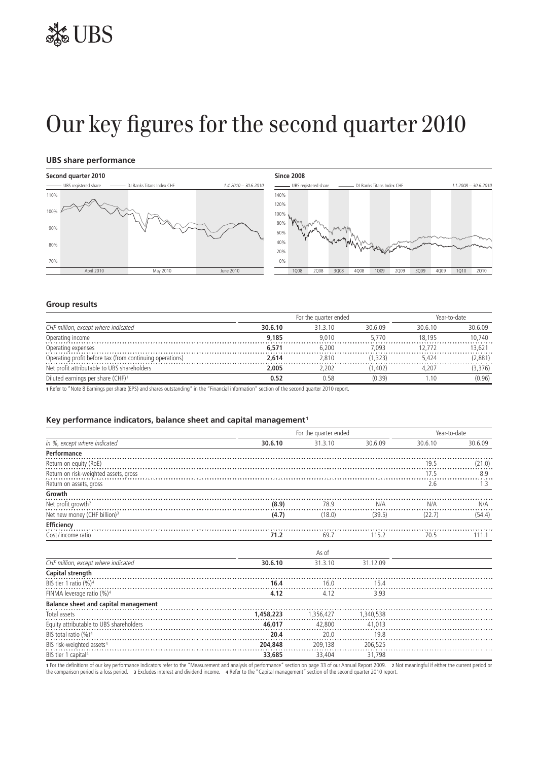## Our key figures for the second quarter 2010

#### **UBS share performance**





#### **Group results**

| CHF million, except where indicated                      | For the quarter ended | ear-to-date |        |        |         |
|----------------------------------------------------------|-----------------------|-------------|--------|--------|---------|
|                                                          | 30.6.10               | 31 3 10     | 30609  | 30610  | 30.6.09 |
| Operating income                                         | 9,185                 | 9.010       | 5.770  | 18.195 | 10.740  |
| Operating expenses                                       | 6.571                 | 5.200       | .093   |        | 13.621  |
| Operating profit before tax (from continuing operations) | 2.614                 | 2.810       | .323)  | 5.424  | (2,881) |
| Net profit attributable to UBS shareholders              | 2.005                 | 2.202       | .402)  | 4.207  | 3.376   |
| Diluted earnings per share (CHF) <sup>1</sup>            | 0.52                  |             | (0.39) |        | (0.96)  |

**1** Refer to "Note 8 Earnings per share (EPS) and shares outstanding" in the "Financial information" section of the second quarter 2010 report.

#### Key performance indicators, balance sheet and capital management<sup>1</sup>

| in %, except where indicated             |           | For the quarter ended |           |         |         |
|------------------------------------------|-----------|-----------------------|-----------|---------|---------|
|                                          | 30.6.10   | 31.3.10               | 30.6.09   | 30.6.10 | 30.6.09 |
| Performance                              |           |                       |           |         |         |
| Return on equity (RoE)                   |           |                       |           | 19.5    | (21.0)  |
| Return on risk-weighted assets, gross    |           |                       |           | 17.5    | 8.9     |
| Return on assets, gross                  |           |                       |           | 2.6     | 1.3     |
| Growth                                   |           |                       |           |         |         |
| Net profit growth <sup>2</sup>           | (8.9)     | 78.9                  | N/A       | N/A     | N/A     |
| Net new money (CHF billion) <sup>3</sup> | (4.7)     | (18.0)                | (39.5)    | (22.7)  | (54.4)  |
| Efficiency                               |           |                       |           |         |         |
| Cost/income ratio                        | 71.2      | 69.7                  | 115.2     | 70.5    | 111.1   |
|                                          |           | As of                 |           |         |         |
| CHF million, except where indicated      | 30.6.10   | 31.3.10               | 31.12.09  |         |         |
| Capital strength                         |           |                       |           |         |         |
| BIS tier 1 ratio (%) <sup>4</sup>        | 16.4      | 16.0                  | 15.4      |         |         |
| FINMA leverage ratio (%) <sup>4</sup>    | 4.12      | 4.12                  | 3.93      |         |         |
| Balance sheet and capital management     |           |                       |           |         |         |
| Total assets                             | 1,458,223 | 1,356,427             | 1,340,538 |         |         |
| Equity attributable to UBS shareholders  | 46,017    | 42,800                | 41,013    |         |         |
| BIS total ratio (%) <sup>4</sup>         | 20.4      | 20.0                  | 19.8      |         |         |
| BIS risk-weighted assets <sup>4</sup>    | 204,848   | 209,138               | 206,525   |         |         |
| BIS tier 1 capital <sup>4</sup>          | 33,685    | 33,404                | 31,798    |         |         |

1 For the definitions of our key performance indicators refer to the "Measurement and analysis of performance" section on page 33 of our Annual Report 2009. 2 Not meaningful if either the current period or<br>the comparison p